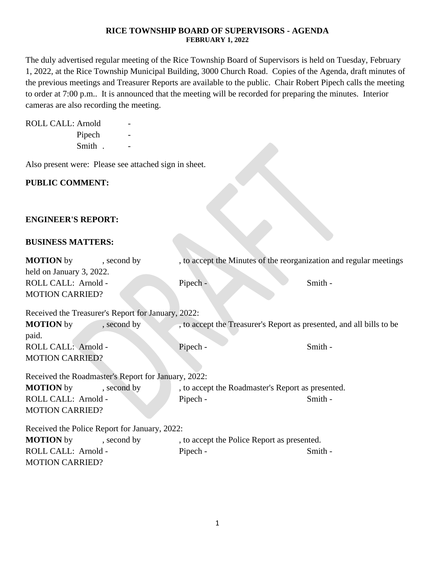#### **RICE TOWNSHIP BOARD OF SUPERVISORS - AGENDA FEBRUARY 1, 2022**

The duly advertised regular meeting of the Rice Township Board of Supervisors is held on Tuesday, February 1, 2022, at the Rice Township Municipal Building, 3000 Church Road. Copies of the Agenda, draft minutes of the previous meetings and Treasurer Reports are available to the public. Chair Robert Pipech calls the meeting to order at 7:00 p.m.. It is announced that the meeting will be recorded for preparing the minutes. Interior cameras are also recording the meeting.

ROLL CALL: Arnold

Pipech Smith .

Also present were: Please see attached sign in sheet.

## **PUBLIC COMMENT:**

## **ENGINEER'S REPORT:**

#### **BUSINESS MATTERS:**

| <b>MOTION</b> by<br>held on January 3, 2022.        | , second by | , to accept the Minutes of the reorganization and regular meetings   |         |  |  |
|-----------------------------------------------------|-------------|----------------------------------------------------------------------|---------|--|--|
| ROLL CALL: Arnold -                                 |             | Pipech -                                                             | Smith - |  |  |
| <b>MOTION CARRIED?</b>                              |             |                                                                      |         |  |  |
| Received the Treasurer's Report for January, 2022:  |             |                                                                      |         |  |  |
| <b>MOTION</b> by                                    | , second by | , to accept the Treasurer's Report as presented, and all bills to be |         |  |  |
| paid.                                               |             |                                                                      |         |  |  |
| ROLL CALL: Arnold -                                 |             | Pipech -                                                             | Smith - |  |  |
| <b>MOTION CARRIED?</b>                              |             |                                                                      |         |  |  |
| Received the Roadmaster's Report for January, 2022: |             |                                                                      |         |  |  |
| <b>MOTION</b> by                                    | , second by | , to accept the Roadmaster's Report as presented.                    |         |  |  |
| ROLL CALL: Arnold -                                 |             | Pipech -                                                             | Smith - |  |  |
| <b>MOTION CARRIED?</b>                              |             |                                                                      |         |  |  |
| Received the Police Report for January, 2022:       |             |                                                                      |         |  |  |
| <b>MOTION</b> by                                    | , second by | , to accept the Police Report as presented.                          |         |  |  |
| ROLL CALL: Arnold -                                 |             | Pipech -                                                             | Smith - |  |  |
| <b>MOTION CARRIED?</b>                              |             |                                                                      |         |  |  |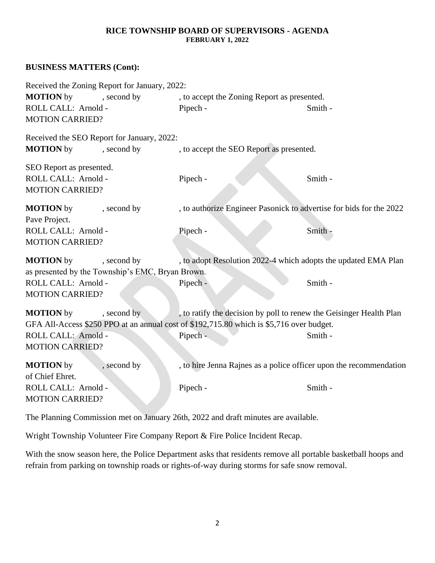#### **RICE TOWNSHIP BOARD OF SUPERVISORS - AGENDA FEBRUARY 1, 2022**

## **BUSINESS MATTERS (Cont):**

| Received the Zoning Report for January, 2022:<br><b>MOTION</b> by<br>, second by    |                                                                                                                                                                 | , to accept the Zoning Report as presented. |  |
|-------------------------------------------------------------------------------------|-----------------------------------------------------------------------------------------------------------------------------------------------------------------|---------------------------------------------|--|
| ROLL CALL: Arnold -<br><b>MOTION CARRIED?</b>                                       | Pipech -                                                                                                                                                        | Smith -                                     |  |
| Received the SEO Report for January, 2022:<br><b>MOTION</b> by<br>, second by       | , to accept the SEO Report as presented.                                                                                                                        |                                             |  |
| SEO Report as presented.<br>ROLL CALL: Arnold -<br><b>MOTION CARRIED?</b>           | Pipech -                                                                                                                                                        | Smith -                                     |  |
| <b>MOTION</b> by<br>, second by<br>Pave Project.                                    | , to authorize Engineer Pasonick to advertise for bids for the 2022                                                                                             |                                             |  |
| ROLL CALL: Arnold -<br><b>MOTION CARRIED?</b>                                       | Pipech -                                                                                                                                                        | Smith -                                     |  |
| <b>MOTION</b> by<br>, second by<br>as presented by the Township's EMC, Bryan Brown. | , to adopt Resolution 2022-4 which adopts the updated EMA Plan                                                                                                  |                                             |  |
| ROLL CALL: Arnold -<br><b>MOTION CARRIED?</b>                                       | Pipech -                                                                                                                                                        | Smith -                                     |  |
| <b>MOTION</b> by<br>, second by                                                     | , to ratify the decision by poll to renew the Geisinger Health Plan<br>GFA All-Access \$250 PPO at an annual cost of \$192,715.80 which is \$5,716 over budget. |                                             |  |
| ROLL CALL: Arnold -<br><b>MOTION CARRIED?</b>                                       | Pipech -                                                                                                                                                        | Smith -                                     |  |
| <b>MOTION</b> by<br>, second by<br>of Chief Ehret.                                  | , to hire Jenna Rajnes as a police officer upon the recommendation                                                                                              |                                             |  |
| ROLL CALL: Arnold -<br><b>MOTION CARRIED?</b>                                       | Pipech -                                                                                                                                                        | Smith -                                     |  |

The Planning Commission met on January 26th, 2022 and draft minutes are available.

Wright Township Volunteer Fire Company Report & Fire Police Incident Recap.

With the snow season here, the Police Department asks that residents remove all portable basketball hoops and refrain from parking on township roads or rights-of-way during storms for safe snow removal.